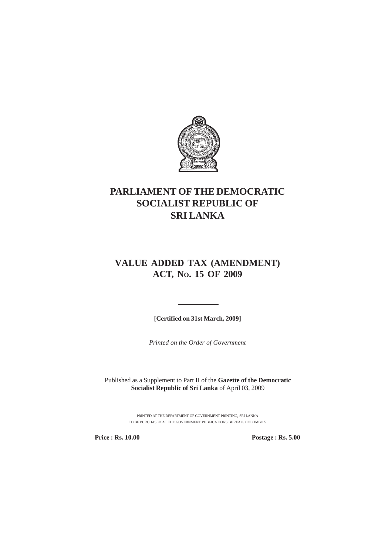

# **PARLIAMENT OF THE DEMOCRATIC SOCIALIST REPUBLIC OF SRI LANKA**

# **VALUE ADDED TAX (AMENDMENT) ACT, NO. 15 OF 2009**

**[Certified on 31st March, 2009]**

*Printed on the Order of Government*

Published as a Supplement to Part II of the **Gazette of the Democratic Socialist Republic of Sri Lanka** of April 03, 2009

> PRINTED AT THE DEPARTMENT OF GOVERNMENT PRINTING, SRI LANKA TO BE PURCHASED AT THE GOVERNMENT PUBLICATIONS BUREAU, COLOMBO 5

**Price : Rs. 10.00 Postage : Rs. 5.00**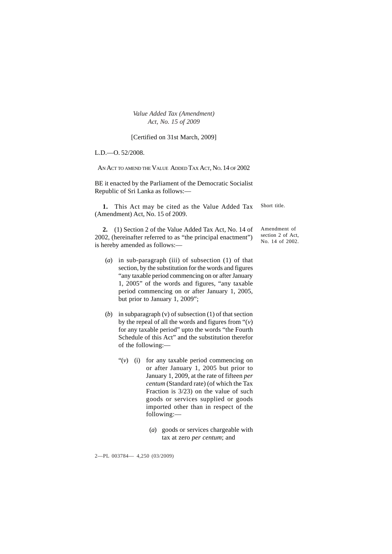[Certified on 31st March, 2009]

L.D.—O. 52/2008.

AN ACT TO AMEND THE VALUE ADDED TAX ACT, NO. 14 OF 2002

BE it enacted by the Parliament of the Democratic Socialist Republic of Sri Lanka as follows:—

**1.** This Act may be cited as the Value Added Tax (Amendment) Act, No. 15 of 2009. Short title.

**2.** (1) Section 2 of the Value Added Tax Act, No. 14 of 2002, (hereinafter referred to as "the principal enactment") is hereby amended as follows:—

- (*a*) in sub-paragraph (iii) of subsection (1) of that section, by the substitution for the words and figures "any taxable period commencing on or after January 1, 2005" of the words and figures, "any taxable period commencing on or after January 1, 2005, but prior to January 1, 2009";
- (*b*) in subparagraph (v) of subsection (1) of that section by the repeal of all the words and figures from  $\cdot\cdot\cdot$  (*v*) for any taxable period" upto the words "the Fourth Schedule of this Act" and the substitution therefor of the following:—
	- "(*v*) (i) for any taxable period commencing on or after January 1, 2005 but prior to January 1, 2009, at the rate of fifteen *per centum* (Standard rate) (of which the Tax Fraction is 3/23) on the value of such goods or services supplied or goods imported other than in respect of the following:—
		- (*a*) goods or services chargeable with tax at zero *per centum*; and

2—PL 003784— 4,250 (03/2009)

Amendment of section 2 of Act, No. 14 of 2002.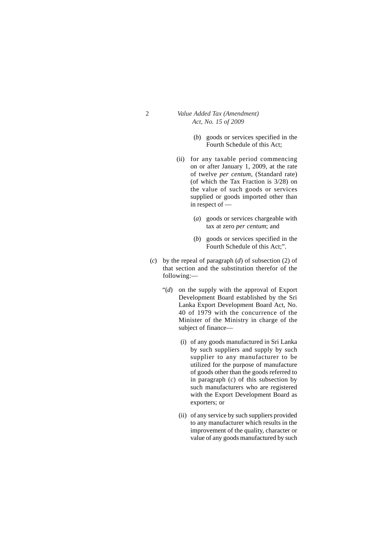- (*b*) goods or services specified in the Fourth Schedule of this Act;
- (ii) for any taxable period commencing on or after January 1, 2009, at the rate of twelve *per centum*, (Standard rate) (of which the Tax Fraction is 3/28) on the value of such goods or services supplied or goods imported other than in respect of —
	- (*a*) goods or services chargeable with tax at zero *per centum*; and
	- (*b*) goods or services specified in the Fourth Schedule of this Act;".
- (*c*) by the repeal of paragraph (*d*) of subsection (2) of that section and the substitution therefor of the following:—
	- "(*d*) on the supply with the approval of Export Development Board established by the Sri Lanka Export Development Board Act, No. 40 of 1979 with the concurrence of the Minister of the Ministry in charge of the subject of finance—
		- (i) of any goods manufactured in Sri Lanka by such suppliers and supply by such supplier to any manufacturer to be utilized for the purpose of manufacture of goods other than the goods referred to in paragraph (*c*) of this subsection by such manufacturers who are registered with the Export Development Board as exporters; or
		- (ii) of any service by such suppliers provided to any manufacturer which results in the improvement of the quality, character or value of any goods manufactured by such

 $\overline{2}$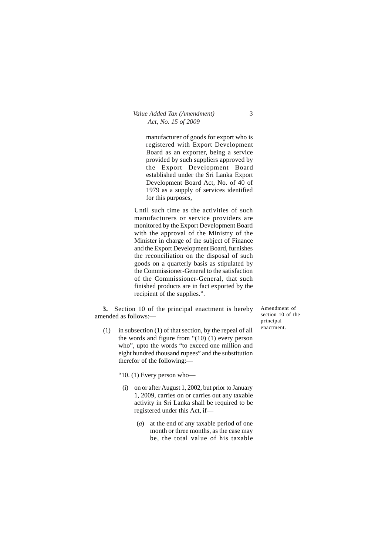manufacturer of goods for export who is registered with Export Development Board as an exporter, being a service provided by such suppliers approved by the Export Development Board established under the Sri Lanka Export Development Board Act, No. of 40 of 1979 as a supply of services identified for this purposes,

Until such time as the activities of such manufacturers or service providers are monitored by the Export Development Board with the approval of the Ministry of the Minister in charge of the subject of Finance and the Export Development Board, furnishes the reconciliation on the disposal of such goods on a quarterly basis as stipulated by the Commissioner-General to the satisfaction of the Commissioner-General, that such finished products are in fact exported by the recipient of the supplies.".

**3.** Section 10 of the principal enactment is hereby amended as follows:—

(1) in subsection (1) of that section, by the repeal of all the words and figure from "(10) (1) every person who", upto the words "to exceed one million and eight hundred thousand rupees" and the substitution therefor of the following:—

"10. (1) Every person who—

- (i) on or after August 1, 2002, but prior to January 1, 2009, carries on or carries out any taxable activity in Sri Lanka shall be required to be registered under this Act, if—
	- (*a*) at the end of any taxable period of one month or three months, as the case may be, the total value of his taxable

Amendment of section 10 of the principal enactment.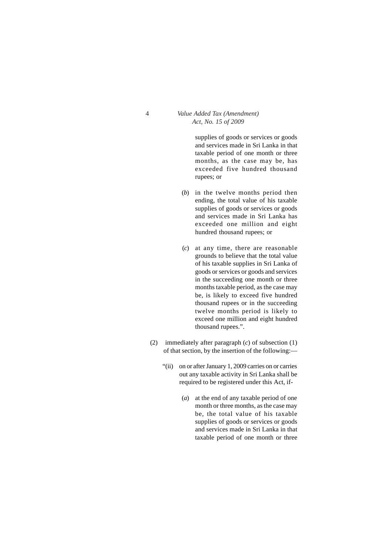supplies of goods or services or goods and services made in Sri Lanka in that taxable period of one month or three months, as the case may be, has exceeded five hundred thousand rupees; or

- (*b*) in the twelve months period then ending, the total value of his taxable supplies of goods or services or goods and services made in Sri Lanka has exceeded one million and eight hundred thousand rupees; or
- (*c*) at any time, there are reasonable grounds to believe that the total value of his taxable supplies in Sri Lanka of goods or services or goods and services in the succeeding one month or three months taxable period, as the case may be, is likely to exceed five hundred thousand rupees or in the succeeding twelve months period is likely to exceed one million and eight hundred thousand rupees.".
- (2) immediately after paragraph (*c*) of subsection (1) of that section, by the insertion of the following:—
	- "(ii) on or after January 1, 2009 carries on or carries out any taxable activity in Sri Lanka shall be required to be registered under this Act, if-
		- (*a*) at the end of any taxable period of one month or three months, as the case may be, the total value of his taxable supplies of goods or services or goods and services made in Sri Lanka in that taxable period of one month or three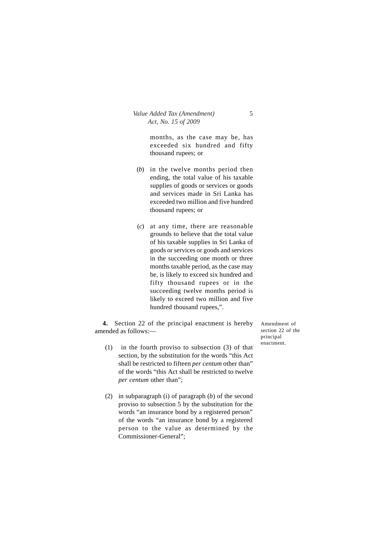months, as the case may be, has exceeded six hundred and fifty thousand rupees; or

- (*b*) in the twelve months period then ending, the total value of his taxable supplies of goods or services or goods and services made in Sri Lanka has exceeded two million and five hundred thousand rupees; or
- (*c*) at any time, there are reasonable grounds to believe that the total value of his taxable supplies in Sri Lanka of goods or services or goods and services in the succeeding one month or three months taxable period, as the case may be, is likely to exceed six hundred and fifty thousand rupees or in the succeeding twelve months period is likely to exceed two million and five hundred thousand rupees,".

**4.** Section 22 of the principal enactment is hereby amended as follows:—

- (1) in the fourth proviso to subsection (3) of that section, by the substitution for the words "this Act shall be restricted to fifteen *per centum* other than" of the words "this Act shall be restricted to twelve *per centum* other than";
- (2) in subparagraph (i) of paragraph (*b*) of the second proviso to subsection 5 by the substitution for the words "an insurance bond by a registered person" of the words "an insurance bond by a registered person to the value as determined by the Commissioner-General";

Amendment of section 22 of the principal enactment.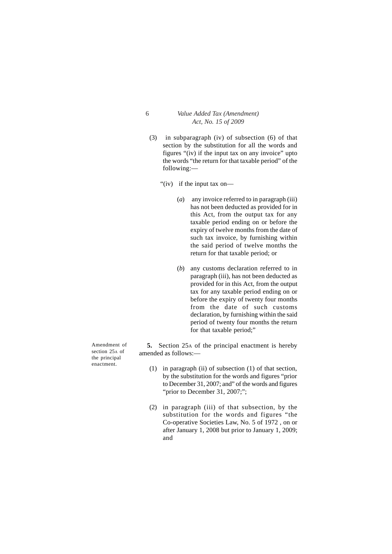- (3) in subparagraph (iv) of subsection (6) of that section by the substitution for all the words and figures "(iv) if the input tax on any invoice" upto the words "the return for that taxable period" of the following:—
	- "(iv) if the input tax on—
		- (*a*) any invoice referred to in paragraph (iii) has not been deducted as provided for in this Act, from the output tax for any taxable period ending on or before the expiry of twelve months from the date of such tax invoice, by furnishing within the said period of twelve months the return for that taxable period; or
		- (*b*) any customs declaration referred to in paragraph (iii), has not been deducted as provided for in this Act, from the output tax for any taxable period ending on or before the expiry of twenty four months from the date of such customs declaration, by furnishing within the said period of twenty four months the return for that taxable period;"

**5.** Section 25A of the principal enactment is hereby amended as follows:—

- (1) in paragraph (ii) of subsection (1) of that section, by the substitution for the words and figures "prior to December 31, 2007; and" of the words and figures "prior to December 31, 2007;";
- (2) in paragraph (iii) of that subsection, by the substitution for the words and figures "the Co-operative Societies Law, No. 5 of 1972 , on or after January 1, 2008 but prior to January 1, 2009; and

Amendment of section 25A of the principal enactment.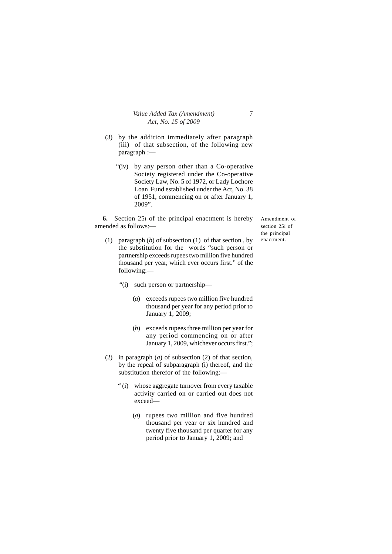- (3) by the addition immediately after paragraph (iii) of that subsection, of the following new paragraph :—
	- "(iv) by any person other than a Co-operative Society registered under the Co-operative Society Law, No. 5 of 1972, or Lady Lochore Loan Fund established under the Act, No. 38 of 1951, commencing on or after January 1, 2009".

**6.** Section 25I of the principal enactment is hereby amended as follows:—

(1) paragraph (*b*) of subsection (1) of that section , by the substitution for the words "such person or partnership exceeds rupees two million five hundred thousand per year, which ever occurs first." of the following:—

"(i) such person or partnership—

- (*a*) exceeds rupees two million five hundred thousand per year for any period prior to January 1, 2009;
- (*b*) exceeds rupees three million per year for any period commencing on or after January 1, 2009, whichever occurs first.";
- (2) in paragraph (*a*) of subsection (2) of that section, by the repeal of subparagraph (i) thereof, and the substitution therefor of the following:—
	- " (i) whose aggregate turnover from every taxable activity carried on or carried out does not exceed—
		- (*a*) rupees two million and five hundred thousand per year or six hundred and twenty five thousand per quarter for any period prior to January 1, 2009; and

Amendment of section 25I of the principal enactment.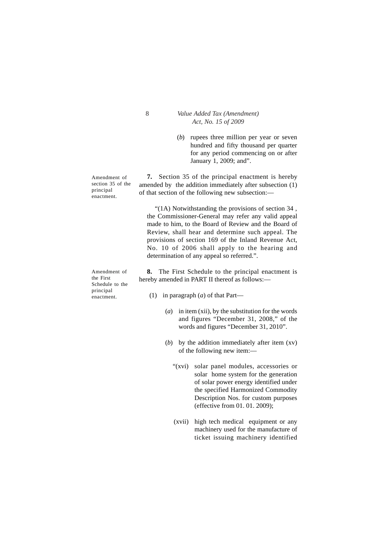(*b*) rupees three million per year or seven hundred and fifty thousand per quarter for any period commencing on or after January 1, 2009; and".

Amendment of section 35 of the principal enactment.

Amendment of the First Schedule to the principal enactment.

**7.** Section 35 of the principal enactment is hereby amended by the addition immediately after subsection (1) of that section of the following new subsection:—

"(1A) Notwithstanding the provisions of section 34 , the Commissioner-General may refer any valid appeal made to him, to the Board of Review and the Board of Review, shall hear and determine such appeal. The provisions of section 169 of the Inland Revenue Act, No. 10 of 2006 shall apply to the hearing and determination of any appeal so referred.".

**8.** The First Schedule to the principal enactment is hereby amended in PART II thereof as follows:—

- (1) in paragraph (*a*) of that Part—
	- (*a*) in item (xii), by the substitution for the words and figures "December 31, 2008," of the words and figures "December 31, 2010".
	- (*b*) by the addition immediately after item (xv) of the following new item:—
		- "(xvi) solar panel modules, accessories or solar home system for the generation of solar power energy identified under the specified Harmonized Commodity Description Nos. for custom purposes (effective from 01. 01. 2009);
		- (xvii) high tech medical equipment or any machinery used for the manufacture of ticket issuing machinery identified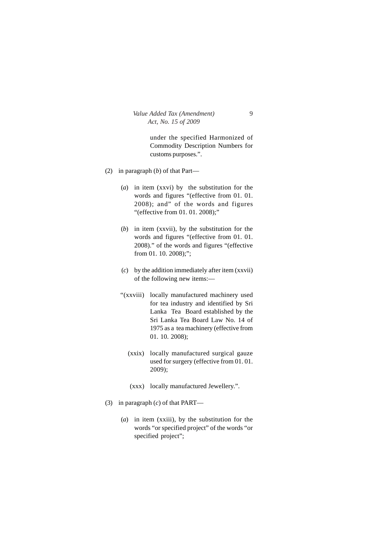under the specified Harmonized of Commodity Description Numbers for customs purposes.".

- (2) in paragraph (*b*) of that Part—
	- (*a*) in item (xxvi) by the substitution for the words and figures "(effective from 01. 01. 2008); and" of the words and figures "(effective from 01. 01. 2008);"
	- (*b*) in item (xxvii), by the substitution for the words and figures "(effective from 01. 01. 2008)." of the words and figures "(effective from 01. 10. 2008);";
	- (*c*) by the addition immediately after item (xxvii) of the following new items:—
	- "(xxviii) locally manufactured machinery used for tea industry and identified by Sri Lanka Tea Board established by the Sri Lanka Tea Board Law No. 14 of 1975 as a tea machinery (effective from 01. 10. 2008);
		- (xxix) locally manufactured surgical gauze used for surgery (effective from 01. 01. 2009);
		- (xxx) locally manufactured Jewellery.".
- (3) in paragraph (*c*) of that PART—
	- (*a*) in item (xxiii), by the substitution for the words "or specified project" of the words "or specified project";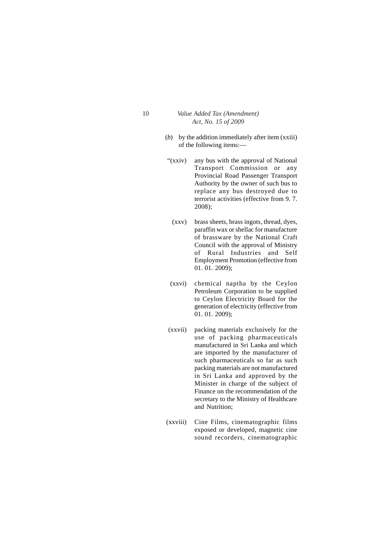- (*b*) by the addition immediately after item (xxiii) of the following items:—
- "(xxiv) any bus with the approval of National Transport Commission or any Provincial Road Passenger Transport Authority by the owner of such bus to replace any bus destroyed due to terrorist activities (effective from 9. 7. 2008);
- (xxv) brass sheets, brass ingots, thread, dyes, paraffin wax or shellac for manufacture of brassware by the National Craft Council with the approval of Ministry of Rural Industries and Self Employment Promotion (effective from 01. 01. 2009);
- (xxvi) chemical naptha by the Ceylon Petroleum Corporation to be supplied to Ceylon Electricity Board for the generation of electricity (effective from 01. 01. 2009);
- (xxvii) packing materials exclusively for the use of packing pharmaceuticals manufactured in Sri Lanka and which are imported by the manufacturer of such pharmaceuticals so far as such packing materials are not manufactured in Sri Lanka and approved by the Minister in charge of the subject of Finance on the recommendation of the secretary to the Ministry of Healthcare and Nutrition;
- (xxviii) Cine Films, cinematographic films exposed or developed, magnetic cine sound recorders, cinematographic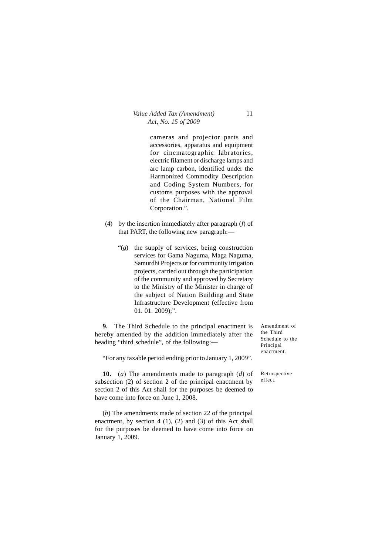cameras and projector parts and accessories, apparatus and equipment for cinematographic labratories, electric filament or discharge lamps and arc lamp carbon, identified under the Harmonized Commodity Description and Coding System Numbers, for customs purposes with the approval of the Chairman, National Film Corporation.".

- (4) by the insertion immediately after paragraph (*f*) of that PART, the following new paragraph:—
	- "(*g*) the supply of services, being construction services for Gama Naguma, Maga Naguma, Samurdhi Projects or for community irrigation projects, carried out through the participation of the community and approved by Secretary to the Ministry of the Minister in charge of the subject of Nation Building and State Infrastructure Development (effective from 01. 01. 2009);".

**9.** The Third Schedule to the principal enactment is hereby amended by the addition immediately after the heading "third schedule", of the following:—

Amendment of the Third Schedule to the Principal enactment.

"For any taxable period ending prior to January 1, 2009".

**10.** (*a*) The amendments made to paragraph (*d*) of subsection (2) of section 2 of the principal enactment by section 2 of this Act shall for the purposes be deemed to have come into force on June 1, 2008.

(*b*) The amendments made of section 22 of the principal enactment, by section 4 (1), (2) and (3) of this Act shall for the purposes be deemed to have come into force on January 1, 2009.

Retrospective effect.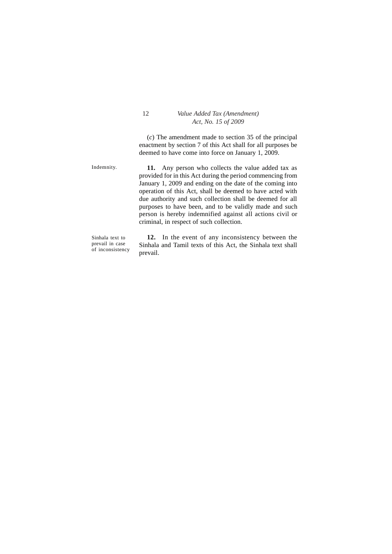(*c*) The amendment made to section 35 of the principal enactment by section 7 of this Act shall for all purposes be deemed to have come into force on January 1, 2009.

Indemnity.

**11.** Any person who collects the value added tax as provided for in this Act during the period commencing from January 1, 2009 and ending on the date of the coming into operation of this Act, shall be deemed to have acted with due authority and such collection shall be deemed for all purposes to have been, and to be validly made and such person is hereby indemnified against all actions civil or criminal, in respect of such collection.

Sinhala text to prevail in case of inconsistency

**12.** In the event of any inconsistency between the Sinhala and Tamil texts of this Act, the Sinhala text shall prevail.